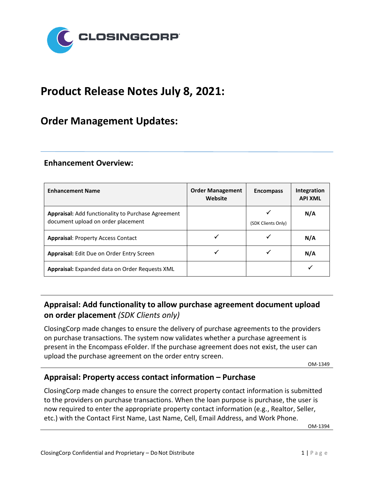

# **Product Release Notes July 8, 2021:**

## **Order Management Updates:**

#### **Enhancement Overview:**

| <b>Enhancement Name</b>                                                                  | <b>Order Management</b><br>Website | <b>Encompass</b>   | Integration<br><b>API XML</b> |
|------------------------------------------------------------------------------------------|------------------------------------|--------------------|-------------------------------|
| Appraisal: Add functionality to Purchase Agreement<br>document upload on order placement |                                    | (SDK Clients Only) | N/A                           |
| <b>Appraisal: Property Access Contact</b>                                                |                                    |                    | N/A                           |
| <b>Appraisal:</b> Edit Due on Order Entry Screen                                         |                                    |                    | N/A                           |
| Appraisal: Expanded data on Order Requests XML                                           |                                    |                    |                               |

## **Appraisal: Add functionality to allow purchase agreement document upload on order placement** *(SDK Clients only)*

ClosingCorp made changes to ensure the delivery of purchase agreements to the providers on purchase transactions. The system now validates whether a purchase agreement is present in the Encompass eFolder. If the purchase agreement does not exist, the user can upload the purchase agreement on the order entry screen.

OM-1349

## **Appraisal: Property access contact information – Purchase**

ClosingCorp made changes to ensure the correct property contact information is submitted to the providers on purchase transactions. When the loan purpose is purchase, the user is now required to enter the appropriate property contact information (e.g., Realtor, Seller, etc.) with the Contact First Name, Last Name, Cell, Email Address, and Work Phone.

OM-1394